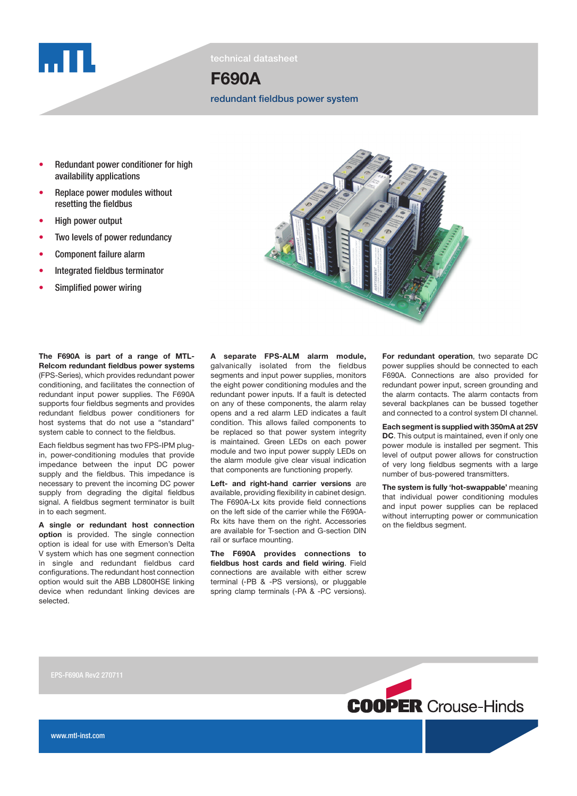

technical datasheet

# F690A

redundant fieldbus power system

- **Redundant power conditioner for high** availability applications
- Replace power modules without resetting the fieldbus
- High power output
- Two levels of power redundancy
- Component failure alarm
- Integrated fieldbus terminator
- Simplified power wiring



The F690A is part of a range of MTL-Relcom redundant fieldbus power systems (FPS-Series), which provides redundant power conditioning, and facilitates the connection of redundant input power supplies. The F690A supports four fieldbus segments and provides redundant fieldbus power conditioners for host systems that do not use a "standard" system cable to connect to the fieldbus.

Each fieldbus segment has two FPS-IPM plugin, power-conditioning modules that provide impedance between the input DC power supply and the fieldbus. This impedance is necessary to prevent the incoming DC power supply from degrading the digital fieldbus signal. A fieldbus segment terminator is built in to each segment.

A single or redundant host connection option is provided. The single connection option is ideal for use with Emerson's Delta V system which has one segment connection in single and redundant fieldbus card configurations. The redundant host connection option would suit the ABB LD800HSE linking device when redundant linking devices are selected.

A separate FPS-ALM alarm module, galvanically isolated from the fieldbus segments and input power supplies, monitors the eight power conditioning modules and the redundant power inputs. If a fault is detected on any of these components, the alarm relay opens and a red alarm LED indicates a fault condition. This allows failed components to be replaced so that power system integrity is maintained. Green LEDs on each power module and two input power supply LEDs on the alarm module give clear visual indication that components are functioning properly.

Left- and right-hand carrier versions are available, providing flexibility in cabinet design. The F690A-Lx kits provide field connections on the left side of the carrier while the F690A-Rx kits have them on the right. Accessories are available for T-section and G-section DIN rail or surface mounting.

The F690A provides connections to fieldbus host cards and field wiring. Field connections are available with either screw terminal (-PB & -PS versions), or pluggable spring clamp terminals (-PA & -PC versions).

For redundant operation, two separate DC power supplies should be connected to each F690A. Connections are also provided for redundant power input, screen grounding and the alarm contacts. The alarm contacts from several backplanes can be bussed together and connected to a control system DI channel.

Each segment is supplied with 350mA at 25V DC. This output is maintained, even if only one power module is installed per segment. This level of output power allows for construction of very long fieldbus segments with a large number of bus-powered transmitters.

The system is fully 'hot-swappable' meaning that individual power conditioning modules and input power supplies can be replaced without interrupting power or communication on the fieldbus segment.

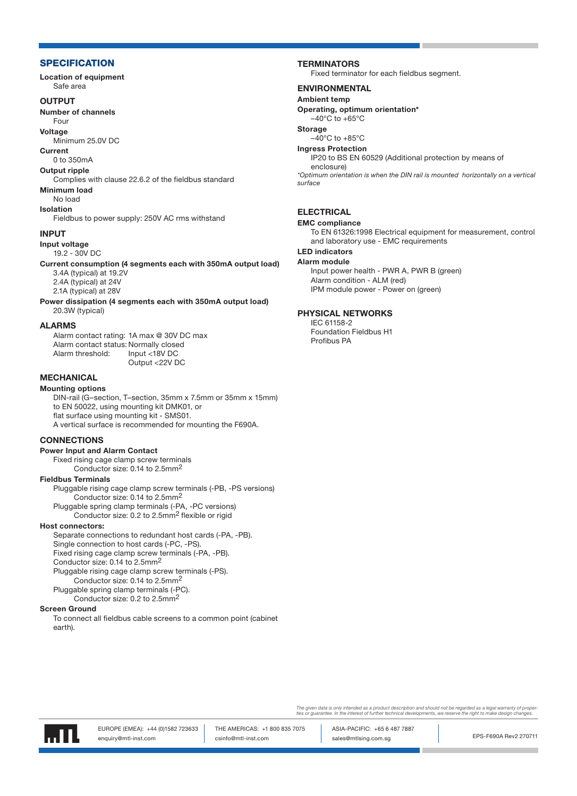# **SPECIFICATION**

Location of equipment Safe area

### **OUTPUT**

Number of channels

Four **Voltage** 

Minimum 25.0V DC

Current

0 to 350mA

# Output ripple

Complies with clause 22.6.2 of the fieldbus standard

# Minimum load

No load Isolation

Fieldbus to power supply: 250V AC rms withstand

## INPUT

Input voltage

19.2 - 30V DC

Current consumption (4 segments each with 350mA output load) 3.4A (typical) at 19.2V 2.4A (typical) at 24V

2.1A (typical) at 28V

Power dissipation (4 segments each with 350mA output load) 20.3W (typical)

# ALARMS

Alarm contact rating: 1A max @ 30V DC max Alarm contact status: Normally closed Alarm threshold: Input <18V DC Output <22V DC

# **MECHANICAL**

Mounting options DIN-rail (G–section, T–section, 35mm x 7.5mm or 35mm x 15mm) to EN 50022, using mounting kit DMK01, or flat surface using mounting kit - SMS01. A vertical surface is recommended for mounting the F690A.

## **CONNECTIONS**

## Power Input and Alarm Contact

Fixed rising cage clamp screw terminals Conductor size: 0.14 to 2.5mm2

## Fieldbus Terminals

Pluggable rising cage clamp screw terminals (-PB, -PS versions) Conductor size: 0.14 to 2.5mm2

Pluggable spring clamp terminals (-PA, -PC versions) Conductor size: 0.2 to 2.5mm2 flexible or rigid

## Host connectors:

Separate connections to redundant host cards (-PA, -PB). Single connection to host cards (-PC, -PS). Fixed rising cage clamp screw terminals (-PA, -PB). Conductor size: 0.14 to 2.5mm2 Pluggable rising cage clamp screw terminals (-PS). Conductor size: 0.14 to 2.5mm2 Pluggable spring clamp terminals (-PC).

Conductor size: 0.2 to 2.5mm2

#### Screen Ground

To connect all fieldbus cable screens to a common point (cabinet earth).

## **TERMINATORS**

Fixed terminator for each fieldbus segment.

# ENVIRONMENTAL

Ambient temp Operating, optimum orientation\*

 $-40^{\circ}$ C to  $+65^{\circ}$ C

Storage

 $-40^{\circ}$ C to  $+85^{\circ}$ C

#### Ingress Protection

IP20 to BS EN 60529 (Additional protection by means of enclosure)

\*Optimum orientation is when the DIN rail is mounted horizontally on a vertical surface

# **ELECTRICAL**

EMC compliance

To EN 61326:1998 Electrical equipment for measurement, control and laboratory use - EMC requirements

# LED indicators

Alarm module

Input power health - PWR A, PWR B (green) Alarm condition - ALM (red) IPM module power - Power on (green)

## PHYSICAL NETWORKS

IEC 61158-2 Foundation Fieldbus H1 Profibus PA

The given data is only intended as a product description and should not be regarded as a legal warranty of proper<br>ties or guarantee. In the interest of further technical developments, we reserve the right to make design ch



EPS-F690A Rev2 270711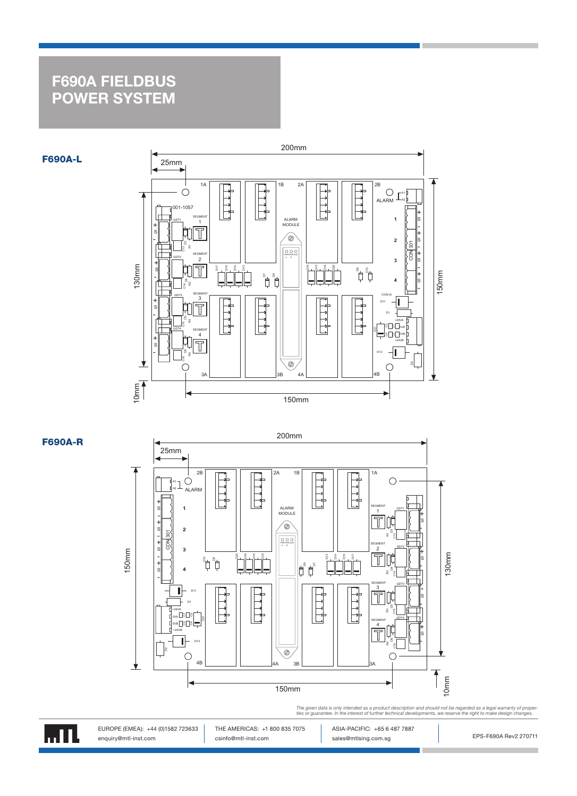# F690A FIELDBUS POWER SYSTEM



F690A-R

F690A-L



The given data is only intended as a product description and should not be regarded as a legal warranty of proper<br>ties or guarantee. In the interest of further technical developments, we reserve the right to make design ch



EUROPE (EMEA): +44 (0)1582 723633 | THE AMERICAS: +1 800 835 7075 | ASIA-PACIFIC: +65 6 487 7887 enquiry@mtl-inst.com enduity@mtl-inst.com csinfo@mtl-inst.com sales@mtlsing.com.sg